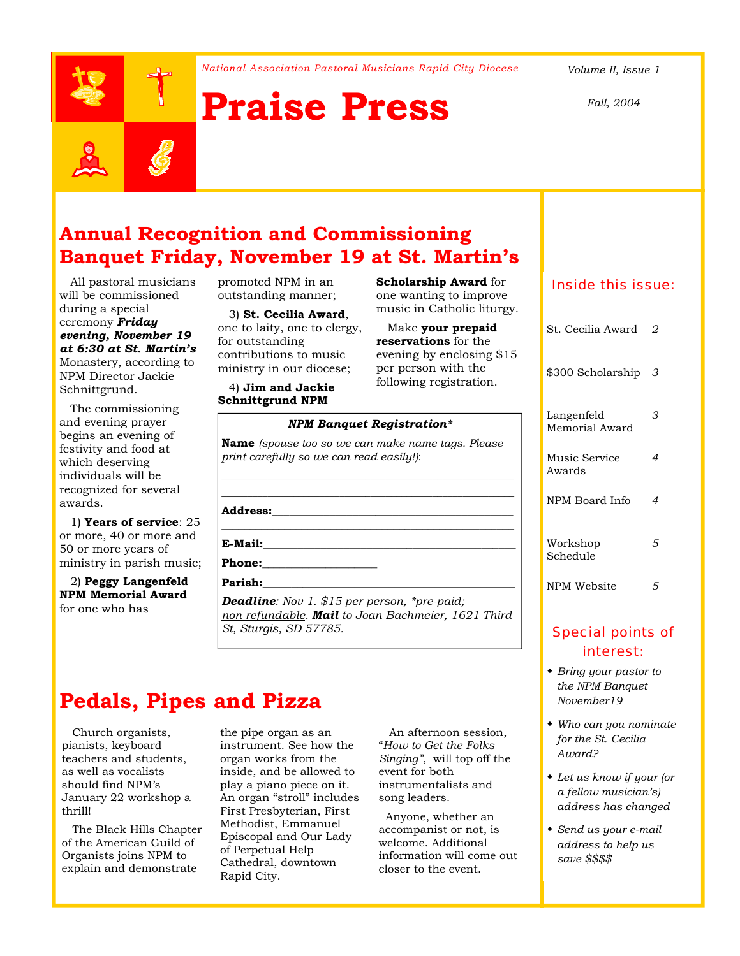*National Association Pastoral Musicians Rapid City Diocese Volume II, Issue 1* 



# **Praise Press**



 All pastoral musicians will be commissioned during a special ceremony *Friday evening, November 19 at 6:30 at St. Martin's*  Monastery, according to NPM Director Jackie Schnittgrund.

 The commissioning and evening prayer begins an evening of festivity and food at which deserving individuals will be recognized for several awards.

 1) **Years of service**: 25 or more, 40 or more and 50 or more years of ministry in parish music;

 2) **Peggy Langenfeld NPM Memorial Award** for one who has

promoted NPM in an outstanding manner;

 3) **St. Cecilia Award**, one to laity, one to clergy, for outstanding contributions to music ministry in our diocese;

 4) **Jim and Jackie Schnittgrund NPM** 

**Scholarship Award** for one wanting to improve music in Catholic liturgy.

 Make **your prepaid reservations** for the evening by enclosing \$15 per person with the following registration.

### *NPM Banquet Registration\**

**Name** *(spouse too so we can make name tags. Please print carefully so we can read easily!)*:

\_\_\_\_\_\_\_\_\_\_\_\_\_\_\_\_\_\_\_\_\_\_\_\_\_\_\_\_\_\_\_\_\_\_\_\_\_\_\_\_\_\_\_\_\_\_\_\_\_\_\_\_\_\_\_\_\_ \_\_\_\_\_\_\_\_\_\_\_\_\_\_\_\_\_\_\_\_\_\_\_\_\_\_\_\_\_\_\_\_\_\_\_\_\_\_\_\_\_\_\_\_\_\_\_\_\_\_\_\_\_\_\_\_\_

#### **Address:**\_\_\_\_\_\_\_\_\_\_\_\_\_\_\_\_\_\_\_\_\_\_\_\_\_\_\_\_\_\_\_\_\_\_\_\_\_\_\_\_\_\_

\_\_\_\_\_\_\_\_\_\_\_\_\_\_\_\_\_\_\_\_\_\_\_\_\_\_\_\_\_\_\_\_\_\_\_\_\_\_\_\_\_\_\_\_\_\_\_\_\_\_\_ **E-Mail:**\_\_\_\_\_\_\_\_\_\_\_\_\_\_\_\_\_\_\_\_\_\_\_\_\_\_\_\_\_\_\_\_\_\_\_\_\_\_\_\_\_\_\_\_

**Phone:\_\_\_\_\_\_\_\_\_\_\_\_\_\_\_\_\_\_\_\_** 

#### **Parish:**\_\_\_\_\_\_\_\_\_\_\_\_\_\_\_\_\_\_\_\_\_\_\_\_\_\_\_\_\_\_\_\_\_\_\_\_\_\_\_\_\_\_\_\_

*Deadline: Nov 1. \$15 per person, \*pre-paid; non refundable. Mail to Joan Bachmeier, 1621 Third St, Sturgis, SD 57785.* 

### **Pedals, Pipes and Pizza**

 Church organists, pianists, keyboard teachers and students, as well as vocalists should find NPM's January 22 workshop a thrill!

 The Black Hills Chapter of the American Guild of Organists joins NPM to explain and demonstrate

the pipe organ as an instrument. See how the organ works from the inside, and be allowed to play a piano piece on it. An organ "stroll" includes First Presbyterian, First Methodist, Emmanuel Episcopal and Our Lady of Perpetual Help Cathedral, downtown Rapid City.

 An afternoon session, "*How to Get the Folks Singing",* will top off the event for both instrumentalists and song leaders.

 Anyone, whether an accompanist or not, is welcome. Additional information will come out closer to the event.

### Inside this issue:

| St. Cecilia Award            | 2 |
|------------------------------|---|
| \$300 Scholarship            | З |
| Langenfeld<br>Memorial Award | З |
| Music Service<br>Awards      | 4 |
| NPM Board Info               | 4 |
| Workshop<br>Schedule         | 5 |
| NPM Website                  | 5 |

### Special points of interest:

- *Bring your pastor to the NPM Banquet November19*
- *Who can you nominate for the St. Cecilia Award?*
- *Let us know if your (or a fellow musician's) address has changed*
- *Send us your e-mail address to help us save \$\$\$\$*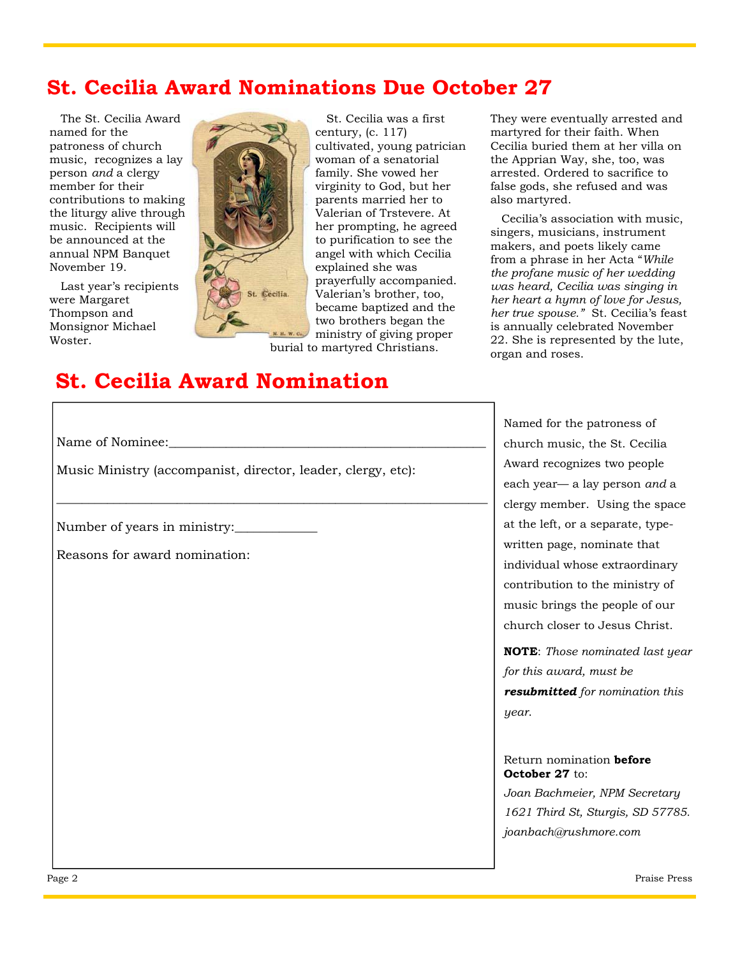# **St. Cecilia Award Nominations Due October 27**

 The St. Cecilia Award named for the patroness of church music, recognizes a lay person *and* a clergy member for their contributions to making the liturgy alive through music. Recipients will be announced at the annual NPM Banquet November 19.

 Last year's recipients were Margaret Thompson and Monsignor Michael Woster.



 St. Cecilia was a first century, (c. 117) cultivated, young patrician woman of a senatorial family. She vowed her virginity to God, but her parents married her to Valerian of Trstevere. At her prompting, he agreed to purification to see the angel with which Cecilia explained she was prayerfully accompanied. Valerian's brother, too, became baptized and the two brothers began the ministry of giving proper

burial to martyred Christians.

They were eventually arrested and martyred for their faith. When Cecilia buried them at her villa on the Apprian Way, she, too, was arrested. Ordered to sacrifice to false gods, she refused and was also martyred.

 Cecilia's association with music, singers, musicians, instrument makers, and poets likely came from a phrase in her Acta "*While the profane music of her wedding was heard, Cecilia was singing in her heart a hymn of love for Jesus, her true spouse."* St. Cecilia's feast is annually celebrated November 22. She is represented by the lute, organ and roses.

# **St. Cecilia Award Nomination**

Name of Nominee:

Music Ministry (accompanist, director, leader, clergy, etc):

\_\_\_\_\_\_\_\_\_\_\_\_\_\_\_\_\_\_\_\_\_\_\_\_\_\_\_\_\_\_\_\_\_\_\_\_\_\_\_\_\_\_\_\_\_\_\_\_\_\_\_\_\_\_\_\_\_\_\_\_\_\_\_\_\_\_\_\_

Number of years in ministry:

Reasons for award nomination:

Named for the patroness of church music, the St. Cecilia Award recognizes two people each year— a lay person *and* a clergy member. Using the space at the left, or a separate, typewritten page, nominate that individual whose extraordinary contribution to the ministry of music brings the people of our church closer to Jesus Christ.

**NOTE**: *Those nominated last year for this award, must be resubmitted for nomination this year*.

### Return nomination **before October 27** to:

*Joan Bachmeier, NPM Secretary 1621 Third St, Sturgis, SD 57785. joanbach@rushmore.com*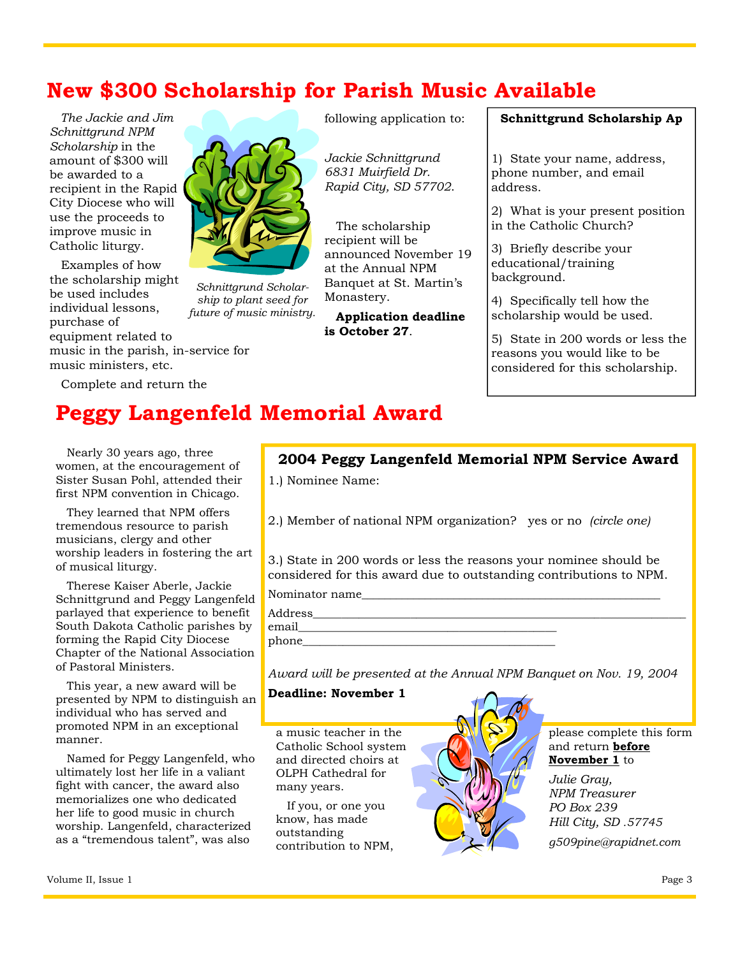# **New \$300 Scholarship for Parish Music Available**

 *The Jackie and Jim Schnittgrund NPM Scholarship* in the amount of \$300 will be awarded to a recipient in the Rapid City Diocese who will use the proceeds to improve music in Catholic liturgy.

 Examples of how the scholarship might be used includes individual lessons, purchase of equipment related to

music in the parish, in-service for music ministers, etc.

Complete and return the

*Schnittgrund Scholarship to plant seed for future of music ministry.*  following application to:

*Jackie Schnittgrund 6831 Muirfield Dr. Rapid City, SD 57702*.

 The scholarship recipient will be announced November 19 at the Annual NPM Banquet at St. Martin's Monastery.

 **Application deadline is October 27**.

### **Schnittgrund Scholarship Ap**

1) State your name, address, phone number, and email address.

2) What is your present position in the Catholic Church?

3) Briefly describe your educational/training background.

4) Specifically tell how the scholarship would be used.

5) State in 200 words or less the reasons you would like to be considered for this scholarship.

# **Peggy Langenfeld Memorial Award**

 Nearly 30 years ago, three women, at the encouragement of Sister Susan Pohl, attended their first NPM convention in Chicago.

 They learned that NPM offers tremendous resource to parish musicians, clergy and other worship leaders in fostering the art of musical liturgy.

 Therese Kaiser Aberle, Jackie Schnittgrund and Peggy Langenfeld parlayed that experience to benefit South Dakota Catholic parishes by forming the Rapid City Diocese Chapter of the National Association of Pastoral Ministers.

 This year, a new award will be presented by NPM to distinguish an individual who has served and promoted NPM in an exceptional manner.

 Named for Peggy Langenfeld, who ultimately lost her life in a valiant fight with cancer, the award also memorializes one who dedicated her life to good music in church worship. Langenfeld, characterized as a "tremendous talent", was also

### **2004 Peggy Langenfeld Memorial NPM Service Award**

1.) Nominee Name:

2.) Member of national NPM organization? yes or no *(circle one)* 

3.) State in 200 words or less the reasons your nominee should be considered for this award due to outstanding contributions to NPM.

Nominator name

Address\_ email\_\_\_\_\_\_\_\_\_\_\_\_\_\_\_\_\_\_\_\_\_\_\_\_\_\_\_\_\_\_\_\_\_\_\_\_\_\_\_\_\_\_\_\_\_

phone

*Award will be presented at the Annual NPM Banquet on Nov. 19, 2004* 

### **Deadline: November 1**

a music teacher in the Catholic School system and directed choirs at OLPH Cathedral for many years.

 If you, or one you know, has made outstanding contribution to NPM,



please complete this form and return **before November 1** to

*Julie Gray, NPM Treasurer PO Box 239 Hill City, SD .57745* 

*g509pine@rapidnet.com*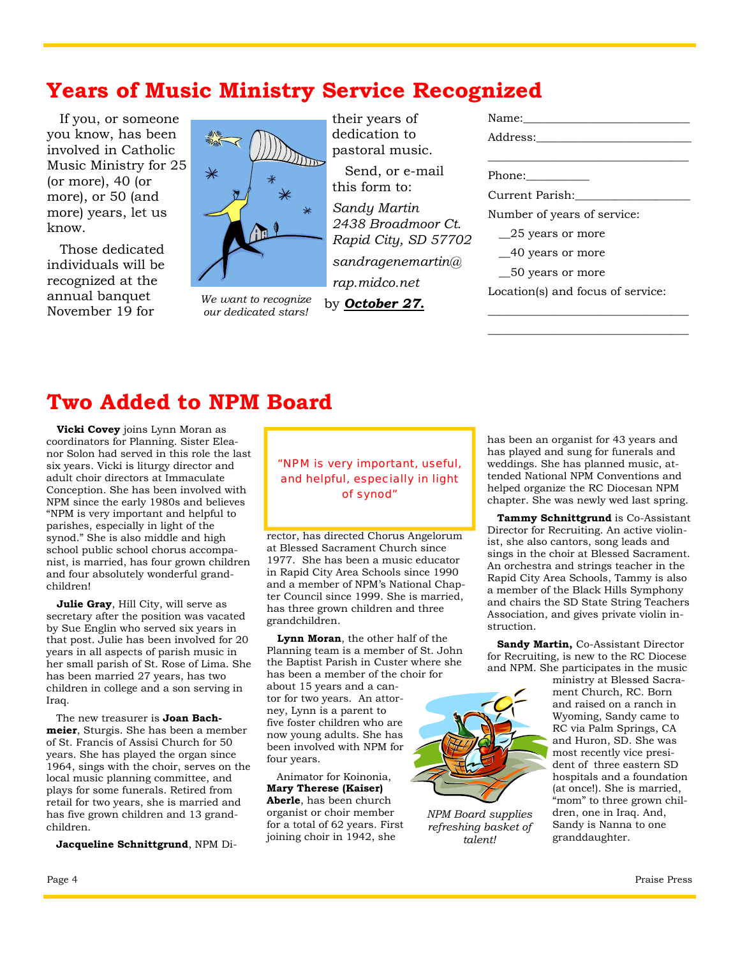### **Years of Music Ministry Service Recognized**

 If you, or someone you know, has been involved in Catholic Music Ministry for 25 (or more), 40 (or more), or 50 (and more) years, let us know.

 Those dedicated individuals will be recognized at the annual banquet November 19 for



*We want to recognize our dedicated stars!* 

their years of dedication to pastoral music.

 Send, or e-mail this form to:

*Sandy Martin 2438 Broadmoor Ct. Rapid City, SD 57702 sandragenemartin@ rap.midco.net* 

by *October 27.*

| Name:                             |
|-----------------------------------|
| Address:                          |
|                                   |
|                                   |
| Current Parish:                   |
| Number of years of service:       |
| 25 years or more                  |
| 40 years or more                  |
| 50 years or more                  |
| Location(s) and focus of service: |
|                                   |

### **Two Added to NPM Board**

 **Vicki Covey** joins Lynn Moran as coordinators for Planning. Sister Eleanor Solon had served in this role the last six years. Vicki is liturgy director and adult choir directors at Immaculate Conception. She has been involved with NPM since the early 1980s and believes "NPM is very important and helpful to parishes, especially in light of the synod." She is also middle and high school public school chorus accompanist, is married, has four grown children and four absolutely wonderful grandchildren!

 **Julie Gray**, Hill City, will serve as secretary after the position was vacated by Sue Englin who served six years in that post. Julie has been involved for 20 years in all aspects of parish music in her small parish of St. Rose of Lima. She has been married 27 years, has two children in college and a son serving in Iraq.

 The new treasurer is **Joan Bachmeier**, Sturgis. She has been a member of St. Francis of Assisi Church for 50 years. She has played the organ since 1964, sings with the choir, serves on the local music planning committee, and plays for some funerals. Retired from retail for two years, she is married and has five grown children and 13 grandchildren.

**Jacqueline Schnittgrund**, NPM Di-

"NPM is very important, useful, and helpful, especially in light of synod"

rector, has directed Chorus Angelorum at Blessed Sacrament Church since 1977. She has been a music educator in Rapid City Area Schools since 1990 and a member of NPM's National Chapter Council since 1999. She is married, has three grown children and three grandchildren.

 **Lynn Moran**, the other half of the Planning team is a member of St. John the Baptist Parish in Custer where she has been a member of the choir for

about 15 years and a cantor for two years. An attorney, Lynn is a parent to five foster children who are now young adults. She has been involved with NPM for four years.

 Animator for Koinonia, **Mary Therese (Kaiser) Aberle**, has been church organist or choir member for a total of 62 years. First joining choir in 1942, she



*NPM Board supplies refreshing basket of talent!* 

has been an organist for 43 years and has played and sung for funerals and weddings. She has planned music, attended National NPM Conventions and helped organize the RC Diocesan NPM chapter. She was newly wed last spring.

\_\_\_\_\_\_\_\_\_\_\_\_\_\_\_\_\_\_\_\_\_\_\_\_\_\_\_\_\_\_\_\_\_\_\_

 **Tammy Schnittgrund** is Co-Assistant Director for Recruiting. An active violinist, she also cantors, song leads and sings in the choir at Blessed Sacrament. An orchestra and strings teacher in the Rapid City Area Schools, Tammy is also a member of the Black Hills Symphony and chairs the SD State String Teachers Association, and gives private violin instruction.

 **Sandy Martin,** Co-Assistant Director for Recruiting, is new to the RC Diocese and NPM. She participates in the music

ministry at Blessed Sacrament Church, RC. Born and raised on a ranch in Wyoming, Sandy came to RC via Palm Springs, CA and Huron, SD. She was most recently vice president of three eastern SD hospitals and a foundation (at once!). She is married, "mom" to three grown children, one in Iraq. And, Sandy is Nanna to one granddaughter.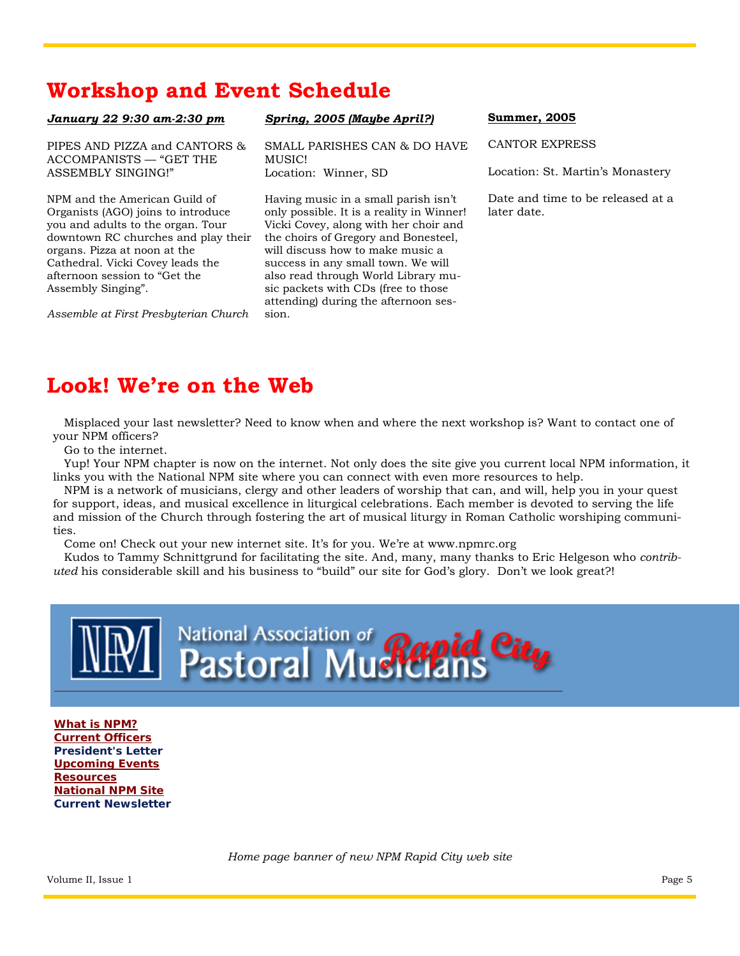# **Workshop and Event Schedule**

#### *January 22 9:30 am-2:30 pm*

PIPES AND PIZZA and CANTORS & ACCOMPANISTS — "GET THE ASSEMBLY SINGING!"

NPM and the American Guild of Organists (AGO) joins to introduce you and adults to the organ. Tour downtown RC churches and play their organs. Pizza at noon at the Cathedral. Vicki Covey leads the afternoon session to "Get the Assembly Singing".

*Assemble at First Presbyterian Church* 

### *Spring, 2005 (Maybe April?)*

SMALL PARISHES CAN & DO HAVE MUSIC! Location: Winner, SD

Having music in a small parish isn't only possible. It is a reality in Winner! Vicki Covey, along with her choir and the choirs of Gregory and Bonesteel, will discuss how to make music a success in any small town. We will also read through World Library music packets with CDs (free to those attending) during the afternoon session.

### **Summer, 2005**

CANTOR EXPRESS

Location: St. Martin's Monastery

Date and time to be released at a later date.

# **Look! We're on the Web**

 Misplaced your last newsletter? Need to know when and where the next workshop is? Want to contact one of your NPM officers?

Go to the internet.

 Yup! Your NPM chapter is now on the internet. Not only does the site give you current local NPM information, it links you with the National NPM site where you can connect with even more resources to help.

 NPM is a network of musicians, clergy and other leaders of worship that can, and will, help you in your quest for support, ideas, and musical excellence in liturgical celebrations. Each member is devoted to serving the life and mission of the Church through fostering the art of musical liturgy in Roman Catholic worshiping communities.

Come on! Check out your new internet site. It's for you. We're at www.npmrc.org

 Kudos to Tammy Schnittgrund for facilitating the site. And, many, many thanks to Eric Helgeson who *contributed* his considerable skill and his business to "build" our site for God's glory. Don't we look great?!



**What is NPM? Current Officers President's Letter Upcoming Events Resources National NPM Site Current Newsletter** 

*Home page banner of new NPM Rapid City web site*